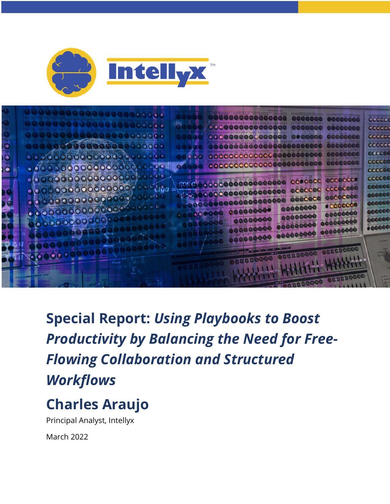



### **Charles Araujo**

Principal Analyst, Intellyx

March 2022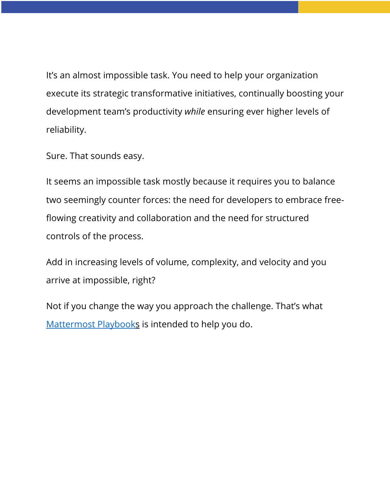It's an almost impossible task. You need to help your organization execute its strategic transformative initiatives, continually boosting your development team's productivity *while* ensuring ever higher levels of reliability.

Sure. That sounds easy.

It seems an impossible task mostly because it requires you to balance two seemingly counter forces: the need for developers to embrace freeflowing creativity and collaboration and the need for structured controls of the process.

Add in increasing levels of volume, complexity, and velocity and you arrive at impossible, right?

Not if you change the way you approach the challenge. That's what Mattermost Playbooks is intended to help you do.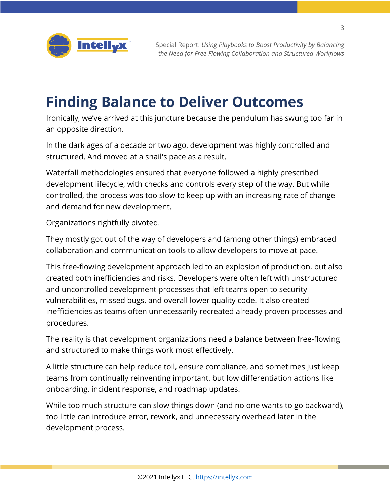

#### **Finding Balance to Deliver Outcomes**

Ironically, we've arrived at this juncture because the pendulum has swung too far in an opposite direction.

In the dark ages of a decade or two ago, development was highly controlled and structured. And moved at a snail's pace as a result.

Waterfall methodologies ensured that everyone followed a highly prescribed development lifecycle, with checks and controls every step of the way. But while controlled, the process was too slow to keep up with an increasing rate of change and demand for new development.

Organizations rightfully pivoted.

They mostly got out of the way of developers and (among other things) embraced collaboration and communication tools to allow developers to move at pace.

This free-flowing development approach led to an explosion of production, but also created both inefficiencies and risks. Developers were often left with unstructured and uncontrolled development processes that left teams open to security vulnerabilities, missed bugs, and overall lower quality code. It also created inefficiencies as teams often unnecessarily recreated already proven processes and procedures.

The reality is that development organizations need a balance between free-flowing and structured to make things work most effectively.

A little structure can help reduce toil, ensure compliance, and sometimes just keep teams from continually reinventing important, but low differentiation actions like onboarding, incident response, and roadmap updates.

While too much structure can slow things down (and no one wants to go backward), too little can introduce error, rework, and unnecessary overhead later in the development process.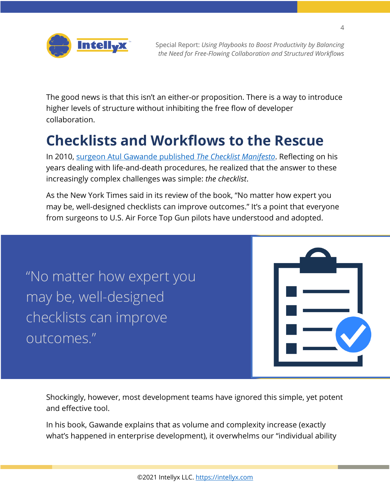

The good news is that this isn't an either-or proposition. There is a way to introduce higher levels of structure without inhibiting the free flow of developer collaboration.

### **Checklists and Workflows to the Rescue**

In 2010, surgeon Atul Gawande published *The Checklist Manifesto*. Reflecting on his years dealing with life-and-death procedures, he realized that the answer to these increasingly complex challenges was simple: *the checklist*.

As the New York Times said in its review of the book, "No matter how expert you may be, well-designed checklists can improve outcomes." It's a point that everyone from surgeons to U.S. Air Force Top Gun pilots have understood and adopted.

"No matter how expert you may be, well-designed checklists can improve outcomes."



Shockingly, however, most development teams have ignored this simple, yet potent and effective tool.

In his book, Gawande explains that as volume and complexity increase (exactly what's happened in enterprise development), it overwhelms our "individual ability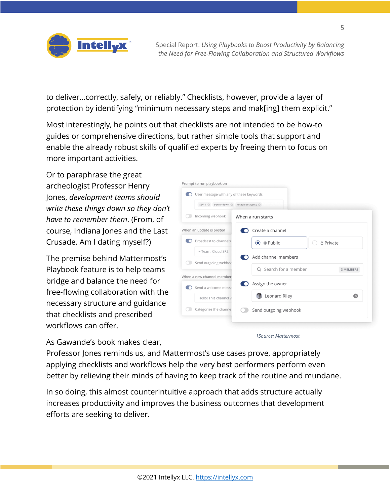

to deliver…correctly, safely, or reliably." Checklists, however, provide a layer of protection by identifying "minimum necessary steps and mak[ing] them explicit."

Most interestingly, he points out that checklists are not intended to be how-to guides or comprehensive directions, but rather simple tools that support and enable the already robust skills of qualified experts by freeing them to focus on more important activities.

Or to paraphrase the great archeologist Professor Henry Jones, *development teams should write these things down so they don't have to remember them*. (From, of course, Indiana Jones and the Last Crusade. Am I dating myself?)

The premise behind Mattermost's Playbook feature is to help teams bridge and balance the need for free-flowing collaboration with the necessary structure and guidance that checklists and prescribed workflows can offer.

As Gawande's book makes clear,

| User message with any of these keywords  |  |                       |                       |
|------------------------------------------|--|-----------------------|-----------------------|
| SEV-1 @ server down @ unable to access @ |  |                       |                       |
| Incoming webhook                         |  | When a run starts     |                       |
| When an update is posted                 |  | Create a channel      |                       |
| Broadcast to channels                    |  | ⊕ Public<br>O         | △ Private             |
| ~ Team: Cloud SRE                        |  | Add channel members   |                       |
| Send outgoing webhoc                     |  |                       |                       |
| When a new channel member                |  | Q Search for a member | <b>3 MEMBERS</b>      |
| Send a welcome messa                     |  | Assign the owner      |                       |
| Hello! This channel y                    |  | Leonard Riley         | $\boldsymbol{\alpha}$ |
| Categorize the channe                    |  | Send outgoing webhook |                       |

*1Source: Mattermost*

Professor Jones reminds us, and Mattermost's use cases prove, appropriately applying checklists and workflows help the very best performers perform even better by relieving their minds of having to keep track of the routine and mundane.

In so doing, this almost counterintuitive approach that adds structure actually increases productivity and improves the business outcomes that development efforts are seeking to deliver.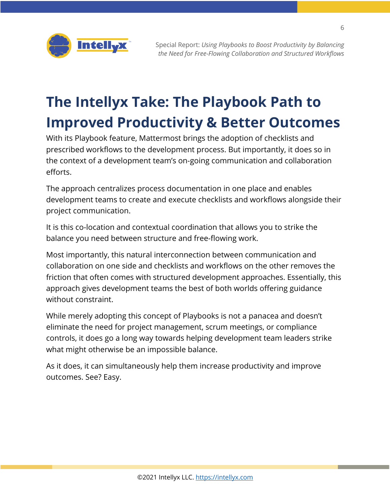

## **The Intellyx Take: The Playbook Path to Improved Productivity & Better Outcomes**

With its Playbook feature, Mattermost brings the adoption of checklists and prescribed workflows to the development process. But importantly, it does so in the context of a development team's on-going communication and collaboration efforts.

The approach centralizes process documentation in one place and enables development teams to create and execute checklists and workflows alongside their project communication.

It is this co-location and contextual coordination that allows you to strike the balance you need between structure and free-flowing work.

Most importantly, this natural interconnection between communication and collaboration on one side and checklists and workflows on the other removes the friction that often comes with structured development approaches. Essentially, this approach gives development teams the best of both worlds offering guidance without constraint.

While merely adopting this concept of Playbooks is not a panacea and doesn't eliminate the need for project management, scrum meetings, or compliance controls, it does go a long way towards helping development team leaders strike what might otherwise be an impossible balance.

As it does, it can simultaneously help them increase productivity and improve outcomes. See? Easy.